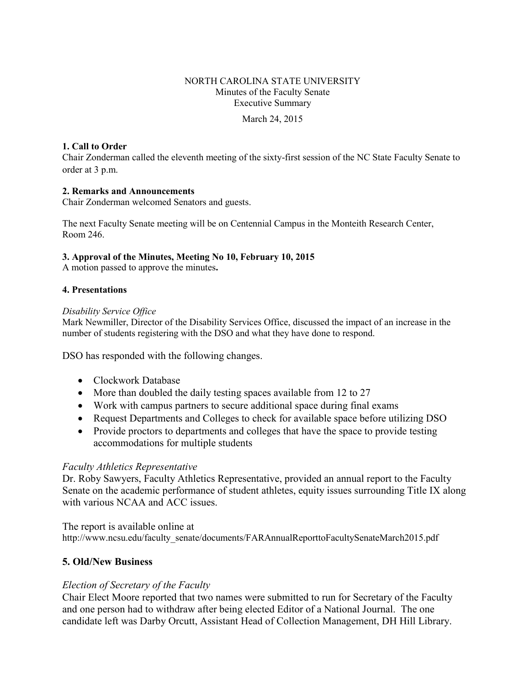# NORTH CAROLINA STATE UNIVERSITY Minutes of the Faculty Senate Executive Summary

March 24, 2015

### **1. Call to Order**

Chair Zonderman called the eleventh meeting of the sixty-first session of the NC State Faculty Senate to order at 3 p.m.

## **2. Remarks and Announcements**

Chair Zonderman welcomed Senators and guests.

The next Faculty Senate meeting will be on Centennial Campus in the Monteith Research Center, Room 246.

### **3. Approval of the Minutes, Meeting No 10, February 10, 2015**

A motion passed to approve the minutes**.** 

### **4. Presentations**

### *Disability Service Office*

Mark Newmiller, Director of the Disability Services Office, discussed the impact of an increase in the number of students registering with the DSO and what they have done to respond.

DSO has responded with the following changes.

- Clockwork Database
- More than doubled the daily testing spaces available from 12 to 27
- Work with campus partners to secure additional space during final exams
- Request Departments and Colleges to check for available space before utilizing DSO
- Provide proctors to departments and colleges that have the space to provide testing accommodations for multiple students

## *Faculty Athletics Representative*

Dr. Roby Sawyers, Faculty Athletics Representative, provided an annual report to the Faculty Senate on the academic performance of student athletes, equity issues surrounding Title IX along with various NCAA and ACC issues.

The report is available online at http://www.ncsu.edu/faculty\_senate/documents/FARAnnualReporttoFacultySenateMarch2015.pdf

## **5. Old/New Business**

## *Election of Secretary of the Faculty*

Chair Elect Moore reported that two names were submitted to run for Secretary of the Faculty and one person had to withdraw after being elected Editor of a National Journal. The one candidate left was Darby Orcutt, Assistant Head of Collection Management, DH Hill Library.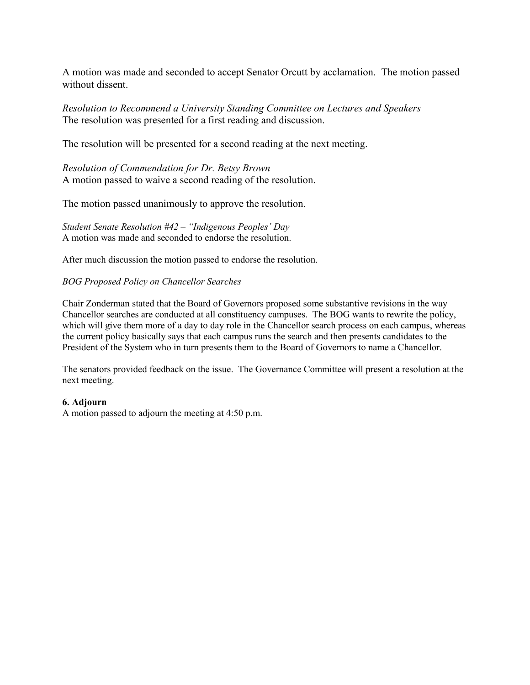A motion was made and seconded to accept Senator Orcutt by acclamation. The motion passed without dissent.

*Resolution to Recommend a University Standing Committee on Lectures and Speakers* The resolution was presented for a first reading and discussion.

The resolution will be presented for a second reading at the next meeting.

*Resolution of Commendation for Dr. Betsy Brown* A motion passed to waive a second reading of the resolution.

The motion passed unanimously to approve the resolution.

*Student Senate Resolution #42 – "Indigenous Peoples' Day* A motion was made and seconded to endorse the resolution.

After much discussion the motion passed to endorse the resolution.

### *BOG Proposed Policy on Chancellor Searches*

Chair Zonderman stated that the Board of Governors proposed some substantive revisions in the way Chancellor searches are conducted at all constituency campuses. The BOG wants to rewrite the policy, which will give them more of a day to day role in the Chancellor search process on each campus, whereas the current policy basically says that each campus runs the search and then presents candidates to the President of the System who in turn presents them to the Board of Governors to name a Chancellor.

The senators provided feedback on the issue. The Governance Committee will present a resolution at the next meeting.

#### **6. Adjourn**

A motion passed to adjourn the meeting at 4:50 p.m.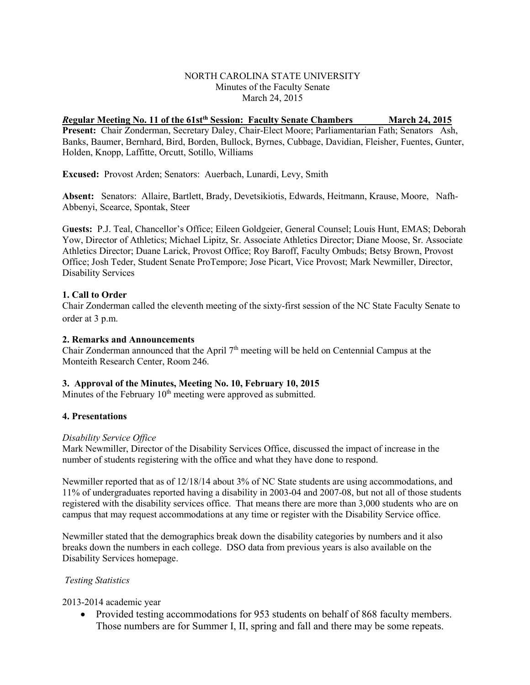### NORTH CAROLINA STATE UNIVERSITY Minutes of the Faculty Senate March 24, 2015

## *R***egular Meeting No. 11 of the 61stth Session: Faculty Senate Chambers March 24, 2015**

**Present:** Chair Zonderman, Secretary Daley, Chair-Elect Moore; Parliamentarian Fath; Senators Ash, Banks, Baumer, Bernhard, Bird, Borden, Bullock, Byrnes, Cubbage, Davidian, Fleisher, Fuentes, Gunter, Holden, Knopp, Laffitte, Orcutt, Sotillo, Williams

**Excused:** Provost Arden; Senators: Auerbach, Lunardi, Levy, Smith

**Absent:** Senators: Allaire, Bartlett, Brady, Devetsikiotis, Edwards, Heitmann, Krause, Moore, Nafh-Abbenyi, Scearce, Spontak, Steer

G**uests:** P.J. Teal, Chancellor's Office; Eileen Goldgeier, General Counsel; Louis Hunt, EMAS; Deborah Yow, Director of Athletics; Michael Lipitz, Sr. Associate Athletics Director; Diane Moose, Sr. Associate Athletics Director; Duane Larick, Provost Office; Roy Baroff, Faculty Ombuds; Betsy Brown, Provost Office; Josh Teder, Student Senate ProTempore; Jose Picart, Vice Provost; Mark Newmiller, Director, Disability Services

### **1. Call to Order**

Chair Zonderman called the eleventh meeting of the sixty-first session of the NC State Faculty Senate to order at 3 p.m.

#### **2. Remarks and Announcements**

Chair Zonderman announced that the April 7<sup>th</sup> meeting will be held on Centennial Campus at the Monteith Research Center, Room 246.

### **3. Approval of the Minutes, Meeting No. 10, February 10, 2015**

Minutes of the February  $10<sup>th</sup>$  meeting were approved as submitted.

### **4. Presentations**

### *Disability Service Office*

Mark Newmiller, Director of the Disability Services Office, discussed the impact of increase in the number of students registering with the office and what they have done to respond.

Newmiller reported that as of 12/18/14 about 3% of NC State students are using accommodations, and 11% of undergraduates reported having a disability in 2003-04 and 2007-08, but not all of those students registered with the disability services office. That means there are more than 3,000 students who are on campus that may request accommodations at any time or register with the Disability Service office.

Newmiller stated that the demographics break down the disability categories by numbers and it also breaks down the numbers in each college. DSO data from previous years is also available on the Disability Services homepage.

### *Testing Statistics*

2013-2014 academic year

• Provided testing accommodations for 953 students on behalf of 868 faculty members. Those numbers are for Summer I, II, spring and fall and there may be some repeats.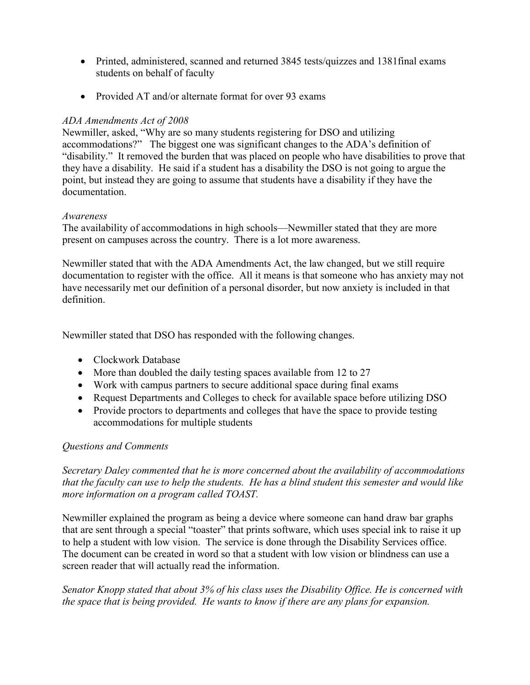- Printed, administered, scanned and returned 3845 tests/quizzes and 1381final exams students on behalf of faculty
- Provided AT and/or alternate format for over 93 exams

## *ADA Amendments Act of 2008*

Newmiller, asked, "Why are so many students registering for DSO and utilizing accommodations?" The biggest one was significant changes to the ADA's definition of "disability." It removed the burden that was placed on people who have disabilities to prove that they have a disability. He said if a student has a disability the DSO is not going to argue the point, but instead they are going to assume that students have a disability if they have the documentation.

## *Awareness*

The availability of accommodations in high schools—Newmiller stated that they are more present on campuses across the country. There is a lot more awareness.

Newmiller stated that with the ADA Amendments Act, the law changed, but we still require documentation to register with the office. All it means is that someone who has anxiety may not have necessarily met our definition of a personal disorder, but now anxiety is included in that definition.

Newmiller stated that DSO has responded with the following changes.

- Clockwork Database
- More than doubled the daily testing spaces available from 12 to 27
- Work with campus partners to secure additional space during final exams
- Request Departments and Colleges to check for available space before utilizing DSO
- Provide proctors to departments and colleges that have the space to provide testing accommodations for multiple students

## *Questions and Comments*

*Secretary Daley commented that he is more concerned about the availability of accommodations that the faculty can use to help the students. He has a blind student this semester and would like more information on a program called TOAST.* 

Newmiller explained the program as being a device where someone can hand draw bar graphs that are sent through a special "toaster" that prints software, which uses special ink to raise it up to help a student with low vision. The service is done through the Disability Services office. The document can be created in word so that a student with low vision or blindness can use a screen reader that will actually read the information.

*Senator Knopp stated that about 3% of his class uses the Disability Office. He is concerned with the space that is being provided. He wants to know if there are any plans for expansion.*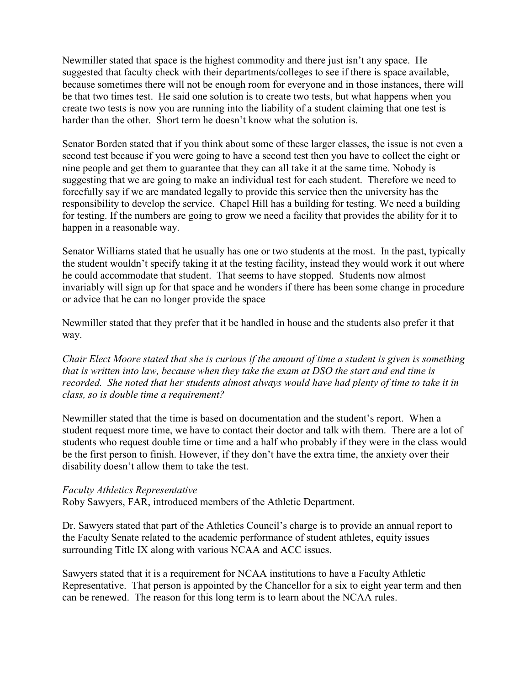Newmiller stated that space is the highest commodity and there just isn't any space. He suggested that faculty check with their departments/colleges to see if there is space available, because sometimes there will not be enough room for everyone and in those instances, there will be that two times test. He said one solution is to create two tests, but what happens when you create two tests is now you are running into the liability of a student claiming that one test is harder than the other. Short term he doesn't know what the solution is.

Senator Borden stated that if you think about some of these larger classes, the issue is not even a second test because if you were going to have a second test then you have to collect the eight or nine people and get them to guarantee that they can all take it at the same time. Nobody is suggesting that we are going to make an individual test for each student. Therefore we need to forcefully say if we are mandated legally to provide this service then the university has the responsibility to develop the service. Chapel Hill has a building for testing. We need a building for testing. If the numbers are going to grow we need a facility that provides the ability for it to happen in a reasonable way.

Senator Williams stated that he usually has one or two students at the most. In the past, typically the student wouldn't specify taking it at the testing facility, instead they would work it out where he could accommodate that student. That seems to have stopped. Students now almost invariably will sign up for that space and he wonders if there has been some change in procedure or advice that he can no longer provide the space

Newmiller stated that they prefer that it be handled in house and the students also prefer it that way.

*Chair Elect Moore stated that she is curious if the amount of time a student is given is something that is written into law, because when they take the exam at DSO the start and end time is recorded. She noted that her students almost always would have had plenty of time to take it in class, so is double time a requirement?* 

Newmiller stated that the time is based on documentation and the student's report. When a student request more time, we have to contact their doctor and talk with them. There are a lot of students who request double time or time and a half who probably if they were in the class would be the first person to finish. However, if they don't have the extra time, the anxiety over their disability doesn't allow them to take the test.

### *Faculty Athletics Representative*

Roby Sawyers, FAR, introduced members of the Athletic Department.

Dr. Sawyers stated that part of the Athletics Council's charge is to provide an annual report to the Faculty Senate related to the academic performance of student athletes, equity issues surrounding Title IX along with various NCAA and ACC issues.

Sawyers stated that it is a requirement for NCAA institutions to have a Faculty Athletic Representative. That person is appointed by the Chancellor for a six to eight year term and then can be renewed. The reason for this long term is to learn about the NCAA rules.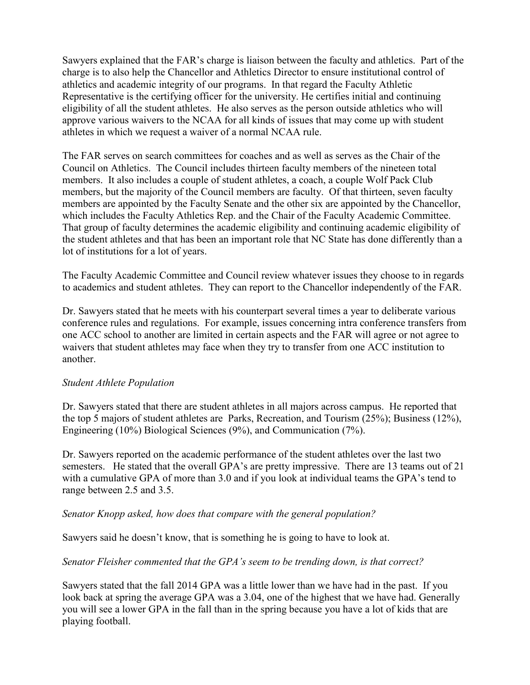Sawyers explained that the FAR's charge is liaison between the faculty and athletics. Part of the charge is to also help the Chancellor and Athletics Director to ensure institutional control of athletics and academic integrity of our programs. In that regard the Faculty Athletic Representative is the certifying officer for the university. He certifies initial and continuing eligibility of all the student athletes. He also serves as the person outside athletics who will approve various waivers to the NCAA for all kinds of issues that may come up with student athletes in which we request a waiver of a normal NCAA rule.

The FAR serves on search committees for coaches and as well as serves as the Chair of the Council on Athletics. The Council includes thirteen faculty members of the nineteen total members. It also includes a couple of student athletes, a coach, a couple Wolf Pack Club members, but the majority of the Council members are faculty. Of that thirteen, seven faculty members are appointed by the Faculty Senate and the other six are appointed by the Chancellor, which includes the Faculty Athletics Rep. and the Chair of the Faculty Academic Committee. That group of faculty determines the academic eligibility and continuing academic eligibility of the student athletes and that has been an important role that NC State has done differently than a lot of institutions for a lot of years.

The Faculty Academic Committee and Council review whatever issues they choose to in regards to academics and student athletes. They can report to the Chancellor independently of the FAR.

Dr. Sawyers stated that he meets with his counterpart several times a year to deliberate various conference rules and regulations. For example, issues concerning intra conference transfers from one ACC school to another are limited in certain aspects and the FAR will agree or not agree to waivers that student athletes may face when they try to transfer from one ACC institution to another.

## *Student Athlete Population*

Dr. Sawyers stated that there are student athletes in all majors across campus. He reported that the top 5 majors of student athletes are Parks, Recreation, and Tourism (25%); Business (12%), Engineering (10%) Biological Sciences (9%), and Communication (7%).

Dr. Sawyers reported on the academic performance of the student athletes over the last two semesters. He stated that the overall GPA's are pretty impressive. There are 13 teams out of 21 with a cumulative GPA of more than 3.0 and if you look at individual teams the GPA's tend to range between 2.5 and 3.5.

## *Senator Knopp asked, how does that compare with the general population?*

Sawyers said he doesn't know, that is something he is going to have to look at.

## *Senator Fleisher commented that the GPA's seem to be trending down, is that correct?*

Sawyers stated that the fall 2014 GPA was a little lower than we have had in the past. If you look back at spring the average GPA was a 3.04, one of the highest that we have had. Generally you will see a lower GPA in the fall than in the spring because you have a lot of kids that are playing football.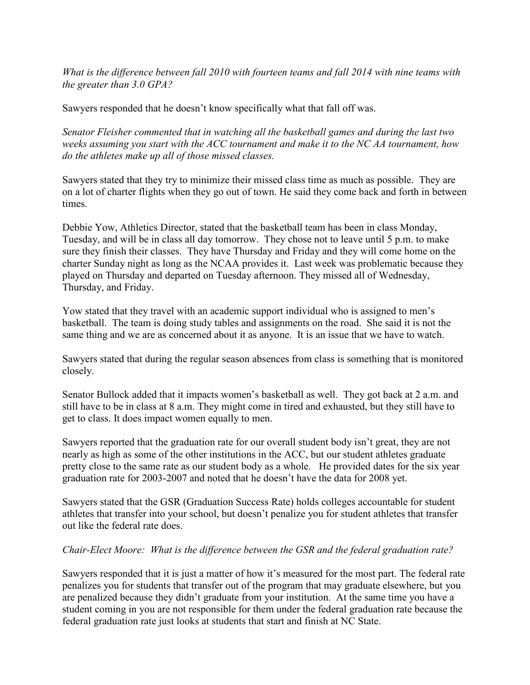*What is the difference between fall 2010 with fourteen teams and fall 2014 with nine teams with the greater than 3.0 GPA?*

Sawyers responded that he doesn't know specifically what that fall off was.

*Senator Fleisher commented that in watching all the basketball games and during the last two weeks assuming you start with the ACC tournament and make it to the NC AA tournament, how do the athletes make up all of those missed classes.* 

Sawyers stated that they try to minimize their missed class time as much as possible. They are on a lot of charter flights when they go out of town. He said they come back and forth in between times.

Debbie Yow, Athletics Director, stated that the basketball team has been in class Monday, Tuesday, and will be in class all day tomorrow. They chose not to leave until 5 p.m. to make sure they finish their classes. They have Thursday and Friday and they will come home on the charter Sunday night as long as the NCAA provides it. Last week was problematic because they played on Thursday and departed on Tuesday afternoon. They missed all of Wednesday, Thursday, and Friday.

Yow stated that they travel with an academic support individual who is assigned to men's basketball. The team is doing study tables and assignments on the road. She said it is not the same thing and we are as concerned about it as anyone. It is an issue that we have to watch.

Sawyers stated that during the regular season absences from class is something that is monitored closely.

Senator Bullock added that it impacts women's basketball as well. They got back at 2 a.m. and still have to be in class at 8 a.m. They might come in tired and exhausted, but they still have to get to class. It does impact women equally to men.

Sawyers reported that the graduation rate for our overall student body isn't great, they are not nearly as high as some of the other institutions in the ACC, but our student athletes graduate pretty close to the same rate as our student body as a whole. He provided dates for the six year graduation rate for 2003-2007 and noted that he doesn't have the data for 2008 yet.

Sawyers stated that the GSR (Graduation Success Rate) holds colleges accountable for student athletes that transfer into your school, but doesn't penalize you for student athletes that transfer out like the federal rate does.

## *Chair-Elect Moore: What is the difference between the GSR and the federal graduation rate?*

Sawyers responded that it is just a matter of how it's measured for the most part. The federal rate penalizes you for students that transfer out of the program that may graduate elsewhere, but you are penalized because they didn't graduate from your institution. At the same time you have a student coming in you are not responsible for them under the federal graduation rate because the federal graduation rate just looks at students that start and finish at NC State.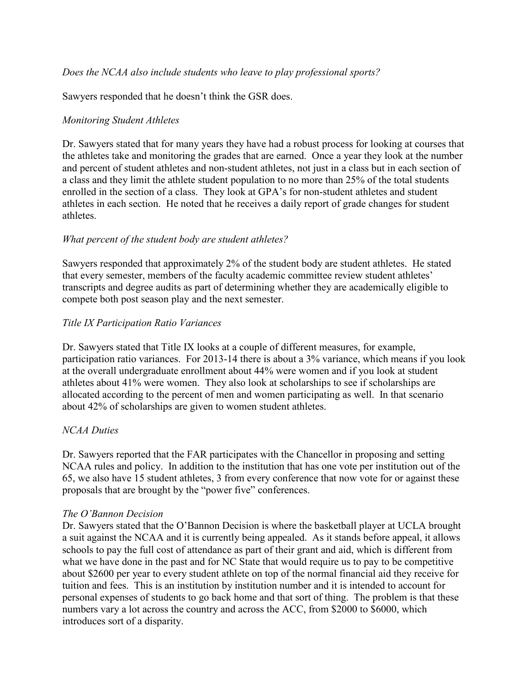Sawyers responded that he doesn't think the GSR does.

## *Monitoring Student Athletes*

Dr. Sawyers stated that for many years they have had a robust process for looking at courses that the athletes take and monitoring the grades that are earned. Once a year they look at the number and percent of student athletes and non-student athletes, not just in a class but in each section of a class and they limit the athlete student population to no more than 25% of the total students enrolled in the section of a class. They look at GPA's for non-student athletes and student athletes in each section. He noted that he receives a daily report of grade changes for student athletes.

## *What percent of the student body are student athletes?*

Sawyers responded that approximately 2% of the student body are student athletes. He stated that every semester, members of the faculty academic committee review student athletes' transcripts and degree audits as part of determining whether they are academically eligible to compete both post season play and the next semester.

## *Title IX Participation Ratio Variances*

Dr. Sawyers stated that Title IX looks at a couple of different measures, for example, participation ratio variances. For 2013-14 there is about a 3% variance, which means if you look at the overall undergraduate enrollment about 44% were women and if you look at student athletes about 41% were women. They also look at scholarships to see if scholarships are allocated according to the percent of men and women participating as well. In that scenario about 42% of scholarships are given to women student athletes.

## *NCAA Duties*

Dr. Sawyers reported that the FAR participates with the Chancellor in proposing and setting NCAA rules and policy. In addition to the institution that has one vote per institution out of the 65, we also have 15 student athletes, 3 from every conference that now vote for or against these proposals that are brought by the "power five" conferences.

## *The O'Bannon Decision*

Dr. Sawyers stated that the O'Bannon Decision is where the basketball player at UCLA brought a suit against the NCAA and it is currently being appealed. As it stands before appeal, it allows schools to pay the full cost of attendance as part of their grant and aid, which is different from what we have done in the past and for NC State that would require us to pay to be competitive about \$2600 per year to every student athlete on top of the normal financial aid they receive for tuition and fees. This is an institution by institution number and it is intended to account for personal expenses of students to go back home and that sort of thing. The problem is that these numbers vary a lot across the country and across the ACC, from \$2000 to \$6000, which introduces sort of a disparity.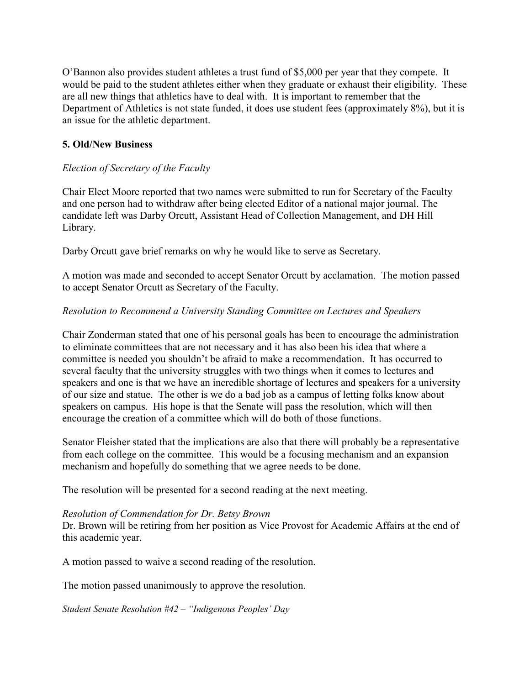O'Bannon also provides student athletes a trust fund of \$5,000 per year that they compete. It would be paid to the student athletes either when they graduate or exhaust their eligibility. These are all new things that athletics have to deal with. It is important to remember that the Department of Athletics is not state funded, it does use student fees (approximately 8%), but it is an issue for the athletic department.

## **5. Old/New Business**

## *Election of Secretary of the Faculty*

Chair Elect Moore reported that two names were submitted to run for Secretary of the Faculty and one person had to withdraw after being elected Editor of a national major journal. The candidate left was Darby Orcutt, Assistant Head of Collection Management, and DH Hill Library.

Darby Orcutt gave brief remarks on why he would like to serve as Secretary.

A motion was made and seconded to accept Senator Orcutt by acclamation. The motion passed to accept Senator Orcutt as Secretary of the Faculty.

## *Resolution to Recommend a University Standing Committee on Lectures and Speakers*

Chair Zonderman stated that one of his personal goals has been to encourage the administration to eliminate committees that are not necessary and it has also been his idea that where a committee is needed you shouldn't be afraid to make a recommendation. It has occurred to several faculty that the university struggles with two things when it comes to lectures and speakers and one is that we have an incredible shortage of lectures and speakers for a university of our size and statue. The other is we do a bad job as a campus of letting folks know about speakers on campus. His hope is that the Senate will pass the resolution, which will then encourage the creation of a committee which will do both of those functions.

Senator Fleisher stated that the implications are also that there will probably be a representative from each college on the committee. This would be a focusing mechanism and an expansion mechanism and hopefully do something that we agree needs to be done.

The resolution will be presented for a second reading at the next meeting.

## *Resolution of Commendation for Dr. Betsy Brown*

Dr. Brown will be retiring from her position as Vice Provost for Academic Affairs at the end of this academic year.

A motion passed to waive a second reading of the resolution.

The motion passed unanimously to approve the resolution.

*Student Senate Resolution #42 – "Indigenous Peoples' Day*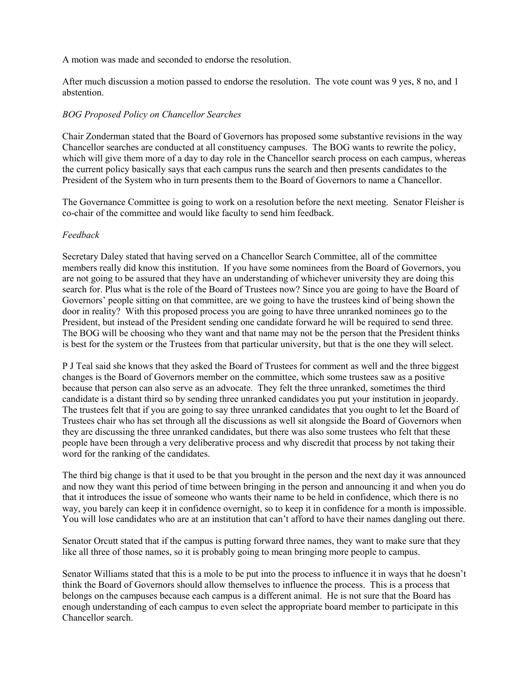A motion was made and seconded to endorse the resolution.

After much discussion a motion passed to endorse the resolution. The vote count was 9 yes, 8 no, and 1 abstention.

#### *BOG Proposed Policy on Chancellor Searches*

Chair Zonderman stated that the Board of Governors has proposed some substantive revisions in the way Chancellor searches are conducted at all constituency campuses. The BOG wants to rewrite the policy, which will give them more of a day to day role in the Chancellor search process on each campus, whereas the current policy basically says that each campus runs the search and then presents candidates to the President of the System who in turn presents them to the Board of Governors to name a Chancellor.

The Governance Committee is going to work on a resolution before the next meeting. Senator Fleisher is co-chair of the committee and would like faculty to send him feedback.

#### *Feedback*

Secretary Daley stated that having served on a Chancellor Search Committee, all of the committee members really did know this institution. If you have some nominees from the Board of Governors, you are not going to be assured that they have an understanding of whichever university they are doing this search for. Plus what is the role of the Board of Trustees now? Since you are going to have the Board of Governors' people sitting on that committee, are we going to have the trustees kind of being shown the door in reality? With this proposed process you are going to have three unranked nominees go to the President, but instead of the President sending one candidate forward he will be required to send three. The BOG will be choosing who they want and that name may not be the person that the President thinks is best for the system or the Trustees from that particular university, but that is the one they will select.

P J Teal said she knows that they asked the Board of Trustees for comment as well and the three biggest changes is the Board of Governors member on the committee, which some trustees saw as a positive because that person can also serve as an advocate. They felt the three unranked, sometimes the third candidate is a distant third so by sending three unranked candidates you put your institution in jeopardy. The trustees felt that if you are going to say three unranked candidates that you ought to let the Board of Trustees chair who has set through all the discussions as well sit alongside the Board of Governors when they are discussing the three unranked candidates, but there was also some trustees who felt that these people have been through a very deliberative process and why discredit that process by not taking their word for the ranking of the candidates.

The third big change is that it used to be that you brought in the person and the next day it was announced and now they want this period of time between bringing in the person and announcing it and when you do that it introduces the issue of someone who wants their name to be held in confidence, which there is no way, you barely can keep it in confidence overnight, so to keep it in confidence for a month is impossible. You will lose candidates who are at an institution that can't afford to have their names dangling out there.

Senator Orcutt stated that if the campus is putting forward three names, they want to make sure that they like all three of those names, so it is probably going to mean bringing more people to campus.

Senator Williams stated that this is a mole to be put into the process to influence it in ways that he doesn't think the Board of Governors should allow themselves to influence the process. This is a process that belongs on the campuses because each campus is a different animal. He is not sure that the Board has enough understanding of each campus to even select the appropriate board member to participate in this Chancellor search.